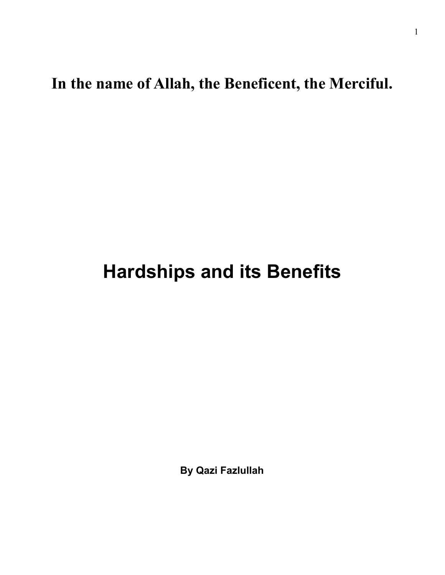**In the name of Allah, the Beneficent, the Merciful.** 

## **Hardships and its Benefits**

**By Qazi Fazlullah**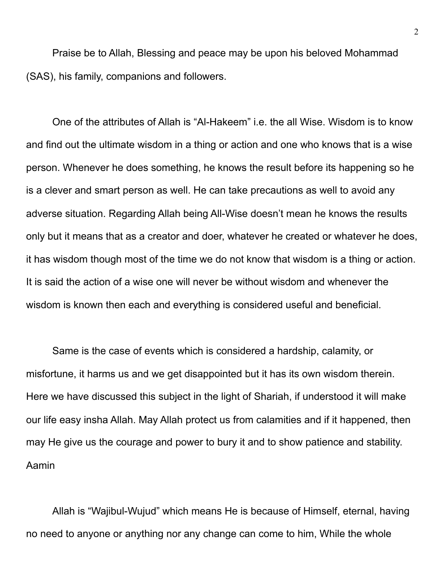Praise be to Allah, Blessing and peace may be upon his beloved Mohammad (SAS), his family, companions and followers.

One of the attributes of Allah is "Al-Hakeem" i.e. the all Wise. Wisdom is to know and find out the ultimate wisdom in a thing or action and one who knows that is a wise person. Whenever he does something, he knows the result before its happening so he is a clever and smart person as well. He can take precautions as well to avoid any adverse situation. Regarding Allah being All-Wise doesn't mean he knows the results only but it means that as a creator and doer, whatever he created or whatever he does, it has wisdom though most of the time we do not know that wisdom is a thing or action. It is said the action of a wise one will never be without wisdom and whenever the wisdom is known then each and everything is considered useful and beneficial.

Same is the case of events which is considered a hardship, calamity, or misfortune, it harms us and we get disappointed but it has its own wisdom therein. Here we have discussed this subject in the light of Shariah, if understood it will make our life easy insha Allah. May Allah protect us from calamities and if it happened, then may He give us the courage and power to bury it and to show patience and stability. Aamin

Allah is "Wajibul-Wujud" which means He is because of Himself, eternal, having no need to anyone or anything nor any change can come to him, While the whole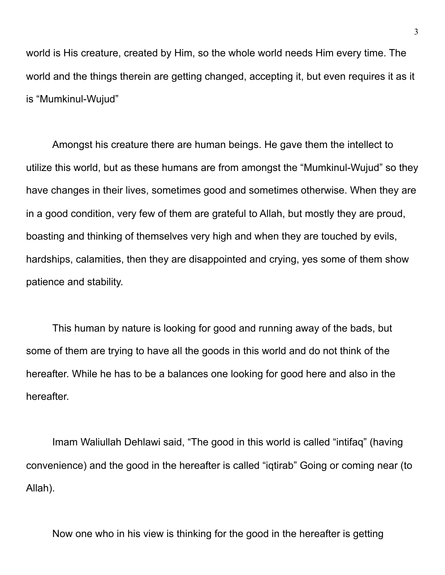world is His creature, created by Him, so the whole world needs Him every time. The world and the things therein are getting changed, accepting it, but even requires it as it is "Mumkinul-Wujud"

Amongst his creature there are human beings. He gave them the intellect to utilize this world, but as these humans are from amongst the "Mumkinul-Wujud" so they have changes in their lives, sometimes good and sometimes otherwise. When they are in a good condition, very few of them are grateful to Allah, but mostly they are proud, boasting and thinking of themselves very high and when they are touched by evils, hardships, calamities, then they are disappointed and crying, yes some of them show patience and stability.

This human by nature is looking for good and running away of the bads, but some of them are trying to have all the goods in this world and do not think of the hereafter. While he has to be a balances one looking for good here and also in the hereafter.

Imam Waliullah Dehlawi said, "The good in this world is called "intifaq" (having convenience) and the good in the hereafter is called "iqtirab" Going or coming near (to Allah).

Now one who in his view is thinking for the good in the hereafter is getting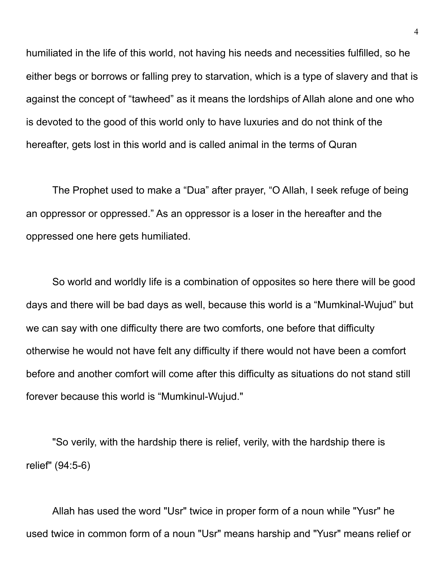humiliated in the life of this world, not having his needs and necessities fulfilled, so he either begs or borrows or falling prey to starvation, which is a type of slavery and that is against the concept of "tawheed" as it means the lordships of Allah alone and one who is devoted to the good of this world only to have luxuries and do not think of the hereafter, gets lost in this world and is called animal in the terms of Quran

The Prophet used to make a "Dua" after prayer, "O Allah, I seek refuge of being an oppressor or oppressed." As an oppressor is a loser in the hereafter and the oppressed one here gets humiliated.

So world and worldly life is a combination of opposites so here there will be good days and there will be bad days as well, because this world is a "Mumkinal-Wujud" but we can say with one difficulty there are two comforts, one before that difficulty otherwise he would not have felt any difficulty if there would not have been a comfort before and another comfort will come after this difficulty as situations do not stand still forever because this world is "Mumkinul-Wujud."

"So verily, with the hardship there is relief, verily, with the hardship there is relief" (94:5-6)

Allah has used the word "Usr" twice in proper form of a noun while "Yusr" he used twice in common form of a noun "Usr" means harship and "Yusr" means relief or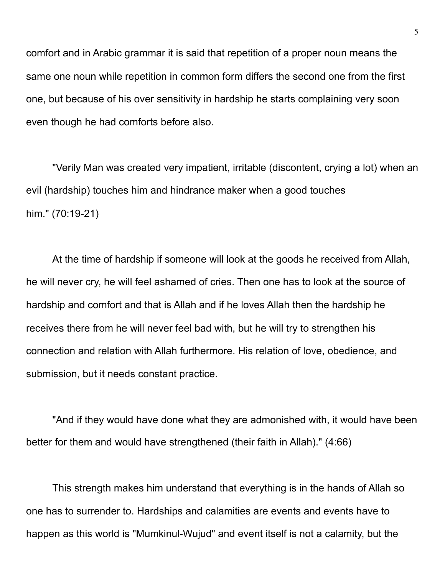comfort and in Arabic grammar it is said that repetition of a proper noun means the same one noun while repetition in common form differs the second one from the first one, but because of his over sensitivity in hardship he starts complaining very soon even though he had comforts before also.

"Verily Man was created very impatient, irritable (discontent, crying a lot) when an evil (hardship) touches him and hindrance maker when a good touches him." (70:19-21)

At the time of hardship if someone will look at the goods he received from Allah, he will never cry, he will feel ashamed of cries. Then one has to look at the source of hardship and comfort and that is Allah and if he loves Allah then the hardship he receives there from he will never feel bad with, but he will try to strengthen his connection and relation with Allah furthermore. His relation of love, obedience, and submission, but it needs constant practice.

"And if they would have done what they are admonished with, it would have been better for them and would have strengthened (their faith in Allah)." (4:66)

This strength makes him understand that everything is in the hands of Allah so one has to surrender to. Hardships and calamities are events and events have to happen as this world is "Mumkinul-Wujud" and event itself is not a calamity, but the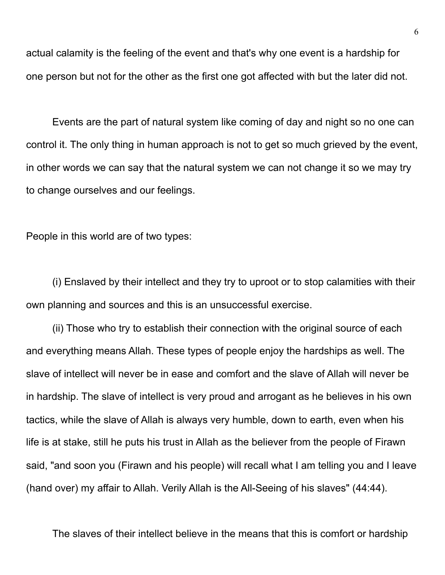actual calamity is the feeling of the event and that's why one event is a hardship for one person but not for the other as the first one got affected with but the later did not.

Events are the part of natural system like coming of day and night so no one can control it. The only thing in human approach is not to get so much grieved by the event, in other words we can say that the natural system we can not change it so we may try to change ourselves and our feelings.

People in this world are of two types:

(i) Enslaved by their intellect and they try to uproot or to stop calamities with their own planning and sources and this is an unsuccessful exercise.

(ii) Those who try to establish their connection with the original source of each and everything means Allah. These types of people enjoy the hardships as well. The slave of intellect will never be in ease and comfort and the slave of Allah will never be in hardship. The slave of intellect is very proud and arrogant as he believes in his own tactics, while the slave of Allah is always very humble, down to earth, even when his life is at stake, still he puts his trust in Allah as the believer from the people of Firawn said, "and soon you (Firawn and his people) will recall what I am telling you and I leave (hand over) my affair to Allah. Verily Allah is the All-Seeing of his slaves" (44:44).

The slaves of their intellect believe in the means that this is comfort or hardship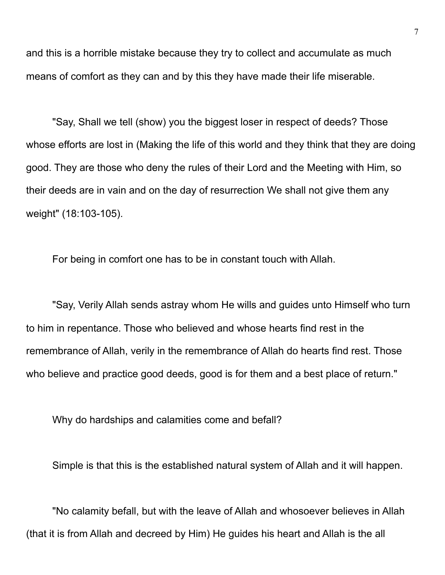and this is a horrible mistake because they try to collect and accumulate as much means of comfort as they can and by this they have made their life miserable.

"Say, Shall we tell (show) you the biggest loser in respect of deeds? Those whose efforts are lost in (Making the life of this world and they think that they are doing good. They are those who deny the rules of their Lord and the Meeting with Him, so their deeds are in vain and on the day of resurrection We shall not give them any weight" (18:103-105).

For being in comfort one has to be in constant touch with Allah.

"Say, Verily Allah sends astray whom He wills and guides unto Himself who turn to him in repentance. Those who believed and whose hearts find rest in the remembrance of Allah, verily in the remembrance of Allah do hearts find rest. Those who believe and practice good deeds, good is for them and a best place of return."

Why do hardships and calamities come and befall?

Simple is that this is the established natural system of Allah and it will happen.

"No calamity befall, but with the leave of Allah and whosoever believes in Allah (that it is from Allah and decreed by Him) He guides his heart and Allah is the all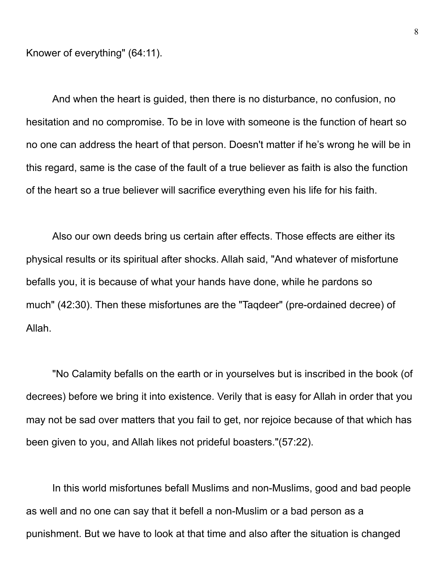Knower of everything" (64:11).

And when the heart is guided, then there is no disturbance, no confusion, no hesitation and no compromise. To be in love with someone is the function of heart so no one can address the heart of that person. Doesn't matter if he's wrong he will be in this regard, same is the case of the fault of a true believer as faith is also the function of the heart so a true believer will sacrifice everything even his life for his faith.

Also our own deeds bring us certain after effects. Those effects are either its physical results or its spiritual after shocks. Allah said, "And whatever of misfortune befalls you, it is because of what your hands have done, while he pardons so much" (42:30). Then these misfortunes are the "Taqdeer" (pre-ordained decree) of Allah.

"No Calamity befalls on the earth or in yourselves but is inscribed in the book (of decrees) before we bring it into existence. Verily that is easy for Allah in order that you may not be sad over matters that you fail to get, nor rejoice because of that which has been given to you, and Allah likes not prideful boasters."(57:22).

In this world misfortunes befall Muslims and non-Muslims, good and bad people as well and no one can say that it befell a non-Muslim or a bad person as a punishment. But we have to look at that time and also after the situation is changed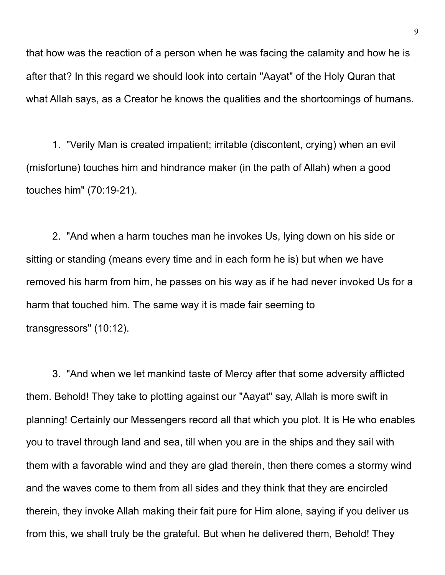that how was the reaction of a person when he was facing the calamity and how he is after that? In this regard we should look into certain "Aayat" of the Holy Quran that what Allah says, as a Creator he knows the qualities and the shortcomings of humans.

1. "Verily Man is created impatient; irritable (discontent, crying) when an evil (misfortune) touches him and hindrance maker (in the path of Allah) when a good touches him" (70:19-21).

2. "And when a harm touches man he invokes Us, lying down on his side or sitting or standing (means every time and in each form he is) but when we have removed his harm from him, he passes on his way as if he had never invoked Us for a harm that touched him. The same way it is made fair seeming to transgressors" (10:12).

3. "And when we let mankind taste of Mercy after that some adversity afflicted them. Behold! They take to plotting against our "Aayat" say, Allah is more swift in planning! Certainly our Messengers record all that which you plot. It is He who enables you to travel through land and sea, till when you are in the ships and they sail with them with a favorable wind and they are glad therein, then there comes a stormy wind and the waves come to them from all sides and they think that they are encircled therein, they invoke Allah making their fait pure for Him alone, saying if you deliver us from this, we shall truly be the grateful. But when he delivered them, Behold! They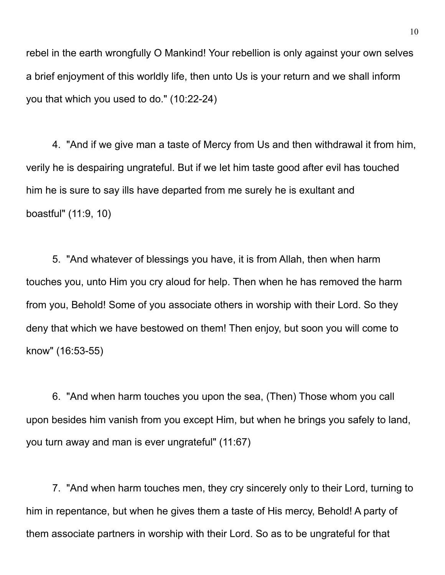rebel in the earth wrongfully O Mankind! Your rebellion is only against your own selves a brief enjoyment of this worldly life, then unto Us is your return and we shall inform you that which you used to do." (10:22-24)

4. "And if we give man a taste of Mercy from Us and then withdrawal it from him, verily he is despairing ungrateful. But if we let him taste good after evil has touched him he is sure to say ills have departed from me surely he is exultant and boastful" (11:9, 10)

5. "And whatever of blessings you have, it is from Allah, then when harm touches you, unto Him you cry aloud for help. Then when he has removed the harm from you, Behold! Some of you associate others in worship with their Lord. So they deny that which we have bestowed on them! Then enjoy, but soon you will come to know" (16:53-55)

6. "And when harm touches you upon the sea, (Then) Those whom you call upon besides him vanish from you except Him, but when he brings you safely to land, you turn away and man is ever ungrateful" (11:67)

7. "And when harm touches men, they cry sincerely only to their Lord, turning to him in repentance, but when he gives them a taste of His mercy, Behold! A party of them associate partners in worship with their Lord. So as to be ungrateful for that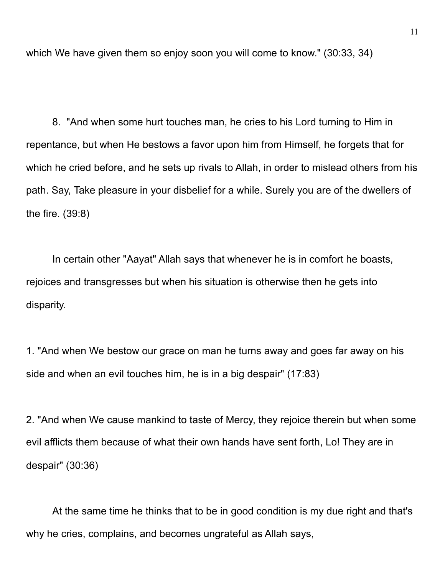which We have given them so enjoy soon you will come to know." (30:33, 34)

8. "And when some hurt touches man, he cries to his Lord turning to Him in repentance, but when He bestows a favor upon him from Himself, he forgets that for which he cried before, and he sets up rivals to Allah, in order to mislead others from his path. Say, Take pleasure in your disbelief for a while. Surely you are of the dwellers of the fire. (39:8)

In certain other "Aayat" Allah says that whenever he is in comfort he boasts, rejoices and transgresses but when his situation is otherwise then he gets into disparity.

1. "And when We bestow our grace on man he turns away and goes far away on his side and when an evil touches him, he is in a big despair" (17:83)

2. "And when We cause mankind to taste of Mercy, they rejoice therein but when some evil afflicts them because of what their own hands have sent forth, Lo! They are in despair" (30:36)

At the same time he thinks that to be in good condition is my due right and that's why he cries, complains, and becomes ungrateful as Allah says,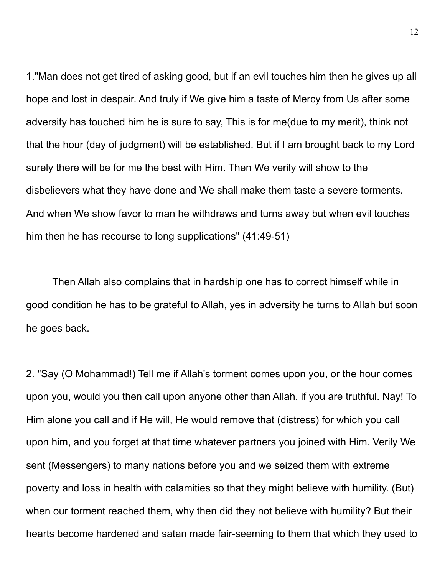1."Man does not get tired of asking good, but if an evil touches him then he gives up all hope and lost in despair. And truly if We give him a taste of Mercy from Us after some adversity has touched him he is sure to say, This is for me(due to my merit), think not that the hour (day of judgment) will be established. But if I am brought back to my Lord surely there will be for me the best with Him. Then We verily will show to the disbelievers what they have done and We shall make them taste a severe torments. And when We show favor to man he withdraws and turns away but when evil touches him then he has recourse to long supplications" (41:49-51)

Then Allah also complains that in hardship one has to correct himself while in good condition he has to be grateful to Allah, yes in adversity he turns to Allah but soon he goes back.

2. "Say (O Mohammad!) Tell me if Allah's torment comes upon you, or the hour comes upon you, would you then call upon anyone other than Allah, if you are truthful. Nay! To Him alone you call and if He will, He would remove that (distress) for which you call upon him, and you forget at that time whatever partners you joined with Him. Verily We sent (Messengers) to many nations before you and we seized them with extreme poverty and loss in health with calamities so that they might believe with humility. (But) when our torment reached them, why then did they not believe with humility? But their hearts become hardened and satan made fair-seeming to them that which they used to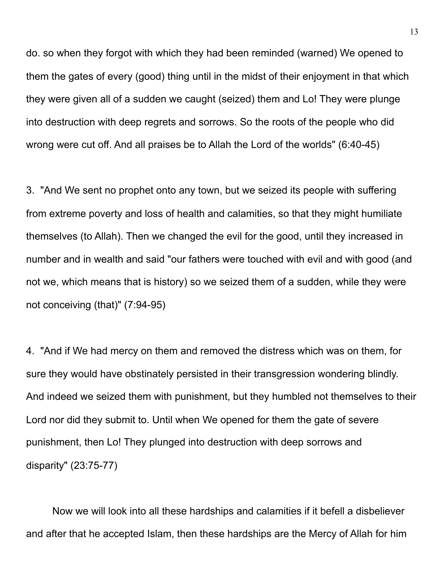do. so when they forgot with which they had been reminded (warned) We opened to them the gates of every (good) thing until in the midst of their enjoyment in that which they were given all of a sudden we caught (seized) them and Lo! They were plunge into destruction with deep regrets and sorrows. So the roots of the people who did wrong were cut off. And all praises be to Allah the Lord of the worlds" (6:40-45)

3. "And We sent no prophet onto any town, but we seized its people with suffering from extreme poverty and loss of health and calamities, so that they might humiliate themselves (to Allah). Then we changed the evil for the good, until they increased in number and in wealth and said "our fathers were touched with evil and with good (and not we, which means that is history) so we seized them of a sudden, while they were not conceiving (that)" (7:94-95)

4. "And if We had mercy on them and removed the distress which was on them, for sure they would have obstinately persisted in their transgression wondering blindly. And indeed we seized them with punishment, but they humbled not themselves to their Lord nor did they submit to. Until when We opened for them the gate of severe punishment, then Lo! They plunged into destruction with deep sorrows and disparity" (23:75-77)

Now we will look into all these hardships and calamities if it befell a disbeliever and after that he accepted Islam, then these hardships are the Mercy of Allah for him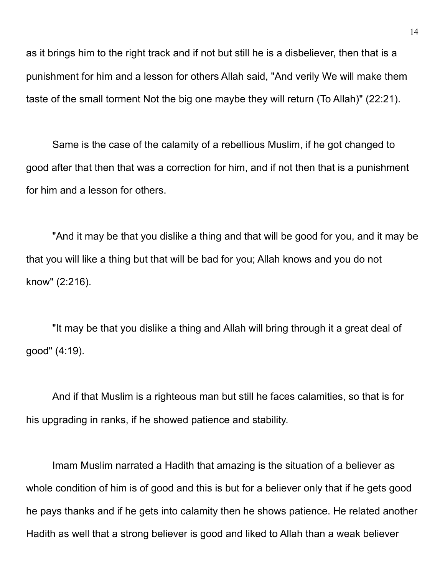as it brings him to the right track and if not but still he is a disbeliever, then that is a punishment for him and a lesson for others Allah said, "And verily We will make them taste of the small torment Not the big one maybe they will return (To Allah)" (22:21).

Same is the case of the calamity of a rebellious Muslim, if he got changed to good after that then that was a correction for him, and if not then that is a punishment for him and a lesson for others.

"And it may be that you dislike a thing and that will be good for you, and it may be that you will like a thing but that will be bad for you; Allah knows and you do not know" (2:216).

"It may be that you dislike a thing and Allah will bring through it a great deal of good" (4:19).

And if that Muslim is a righteous man but still he faces calamities, so that is for his upgrading in ranks, if he showed patience and stability.

Imam Muslim narrated a Hadith that amazing is the situation of a believer as whole condition of him is of good and this is but for a believer only that if he gets good he pays thanks and if he gets into calamity then he shows patience. He related another Hadith as well that a strong believer is good and liked to Allah than a weak believer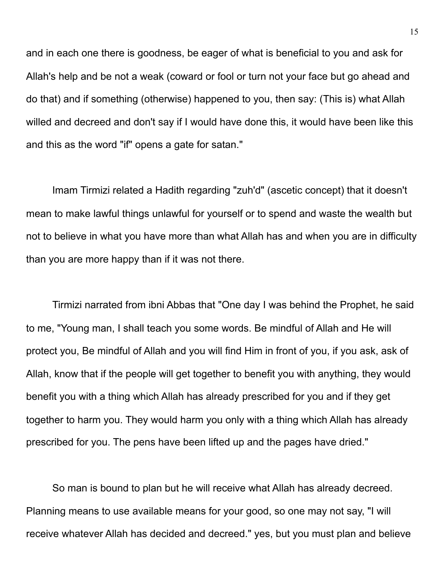and in each one there is goodness, be eager of what is beneficial to you and ask for Allah's help and be not a weak (coward or fool or turn not your face but go ahead and do that) and if something (otherwise) happened to you, then say: (This is) what Allah willed and decreed and don't say if I would have done this, it would have been like this and this as the word "if" opens a gate for satan."

Imam Tirmizi related a Hadith regarding "zuh'd" (ascetic concept) that it doesn't mean to make lawful things unlawful for yourself or to spend and waste the wealth but not to believe in what you have more than what Allah has and when you are in difficulty than you are more happy than if it was not there.

Tirmizi narrated from ibni Abbas that "One day I was behind the Prophet, he said to me, "Young man, I shall teach you some words. Be mindful of Allah and He will protect you, Be mindful of Allah and you will find Him in front of you, if you ask, ask of Allah, know that if the people will get together to benefit you with anything, they would benefit you with a thing which Allah has already prescribed for you and if they get together to harm you. They would harm you only with a thing which Allah has already prescribed for you. The pens have been lifted up and the pages have dried."

So man is bound to plan but he will receive what Allah has already decreed. Planning means to use available means for your good, so one may not say, "I will receive whatever Allah has decided and decreed." yes, but you must plan and believe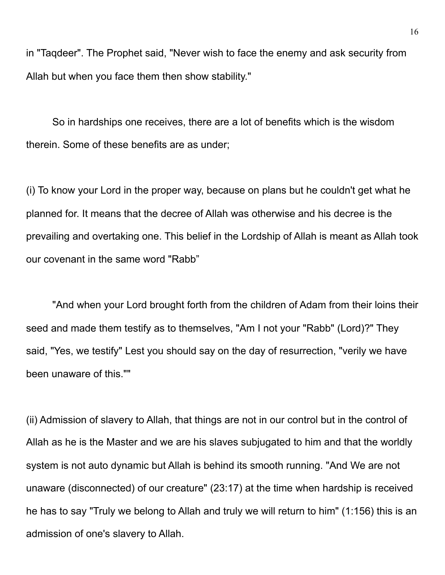in "Taqdeer". The Prophet said, "Never wish to face the enemy and ask security from Allah but when you face them then show stability."

So in hardships one receives, there are a lot of benefits which is the wisdom therein. Some of these benefits are as under;

(i) To know your Lord in the proper way, because on plans but he couldn't get what he planned for. It means that the decree of Allah was otherwise and his decree is the prevailing and overtaking one. This belief in the Lordship of Allah is meant as Allah took our covenant in the same word "Rabb"

"And when your Lord brought forth from the children of Adam from their loins their seed and made them testify as to themselves, "Am I not your "Rabb" (Lord)?" They said, "Yes, we testify" Lest you should say on the day of resurrection, "verily we have been unaware of this.""

(ii) Admission of slavery to Allah, that things are not in our control but in the control of Allah as he is the Master and we are his slaves subjugated to him and that the worldly system is not auto dynamic but Allah is behind its smooth running. "And We are not unaware (disconnected) of our creature" (23:17) at the time when hardship is received he has to say "Truly we belong to Allah and truly we will return to him" (1:156) this is an admission of one's slavery to Allah.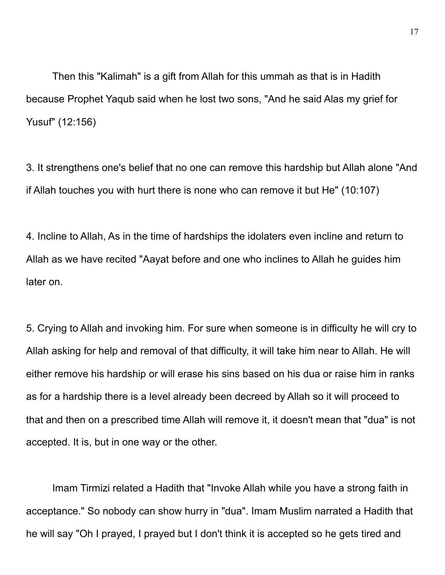Then this "Kalimah" is a gift from Allah for this ummah as that is in Hadith because Prophet Yaqub said when he lost two sons, "And he said Alas my grief for Yusuf" (12:156)

3. It strengthens one's belief that no one can remove this hardship but Allah alone "And if Allah touches you with hurt there is none who can remove it but He" (10:107)

4. Incline to Allah, As in the time of hardships the idolaters even incline and return to Allah as we have recited "Aayat before and one who inclines to Allah he guides him later on.

5. Crying to Allah and invoking him. For sure when someone is in difficulty he will cry to Allah asking for help and removal of that difficulty, it will take him near to Allah. He will either remove his hardship or will erase his sins based on his dua or raise him in ranks as for a hardship there is a level already been decreed by Allah so it will proceed to that and then on a prescribed time Allah will remove it, it doesn't mean that "dua" is not accepted. It is, but in one way or the other.

Imam Tirmizi related a Hadith that "Invoke Allah while you have a strong faith in acceptance." So nobody can show hurry in "dua". Imam Muslim narrated a Hadith that he will say "Oh I prayed, I prayed but I don't think it is accepted so he gets tired and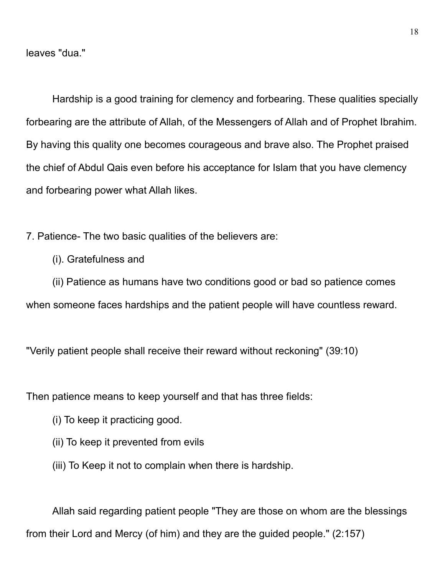leaves "dua."

Hardship is a good training for clemency and forbearing. These qualities specially forbearing are the attribute of Allah, of the Messengers of Allah and of Prophet Ibrahim. By having this quality one becomes courageous and brave also. The Prophet praised the chief of Abdul Qais even before his acceptance for Islam that you have clemency and forbearing power what Allah likes.

7. Patience- The two basic qualities of the believers are:

(i). Gratefulness and

(ii) Patience as humans have two conditions good or bad so patience comes when someone faces hardships and the patient people will have countless reward.

"Verily patient people shall receive their reward without reckoning" (39:10)

Then patience means to keep yourself and that has three fields:

- (i) To keep it practicing good.
- (ii) To keep it prevented from evils
- (iii) To Keep it not to complain when there is hardship.

Allah said regarding patient people "They are those on whom are the blessings from their Lord and Mercy (of him) and they are the guided people." (2:157)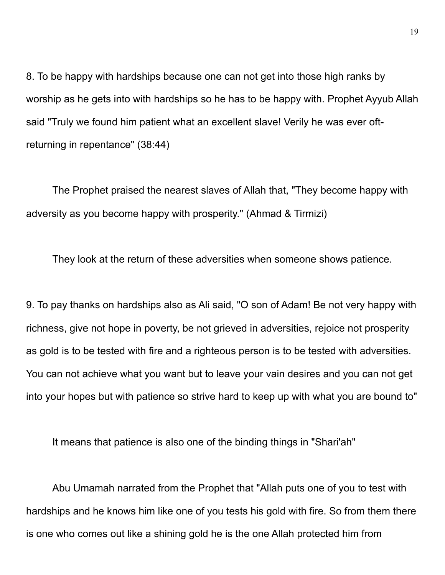8. To be happy with hardships because one can not get into those high ranks by worship as he gets into with hardships so he has to be happy with. Prophet Ayyub Allah said "Truly we found him patient what an excellent slave! Verily he was ever oftreturning in repentance" (38:44)

The Prophet praised the nearest slaves of Allah that, "They become happy with adversity as you become happy with prosperity." (Ahmad & Tirmizi)

They look at the return of these adversities when someone shows patience.

9. To pay thanks on hardships also as Ali said, "O son of Adam! Be not very happy with richness, give not hope in poverty, be not grieved in adversities, rejoice not prosperity as gold is to be tested with fire and a righteous person is to be tested with adversities. You can not achieve what you want but to leave your vain desires and you can not get into your hopes but with patience so strive hard to keep up with what you are bound to"

It means that patience is also one of the binding things in "Shari'ah"

Abu Umamah narrated from the Prophet that "Allah puts one of you to test with hardships and he knows him like one of you tests his gold with fire. So from them there is one who comes out like a shining gold he is the one Allah protected him from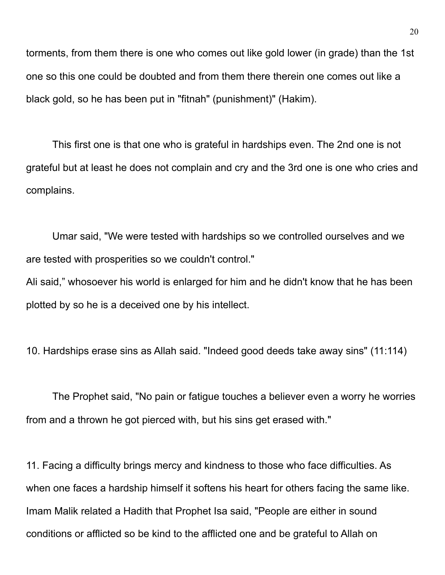torments, from them there is one who comes out like gold lower (in grade) than the 1st one so this one could be doubted and from them there therein one comes out like a black gold, so he has been put in "fitnah" (punishment)" (Hakim).

This first one is that one who is grateful in hardships even. The 2nd one is not grateful but at least he does not complain and cry and the 3rd one is one who cries and complains.

Umar said, "We were tested with hardships so we controlled ourselves and we are tested with prosperities so we couldn't control."

Ali said," whosoever his world is enlarged for him and he didn't know that he has been plotted by so he is a deceived one by his intellect.

10. Hardships erase sins as Allah said. "Indeed good deeds take away sins" (11:114)

The Prophet said, "No pain or fatigue touches a believer even a worry he worries from and a thrown he got pierced with, but his sins get erased with."

11. Facing a difficulty brings mercy and kindness to those who face difficulties. As when one faces a hardship himself it softens his heart for others facing the same like. Imam Malik related a Hadith that Prophet Isa said, "People are either in sound conditions or afflicted so be kind to the afflicted one and be grateful to Allah on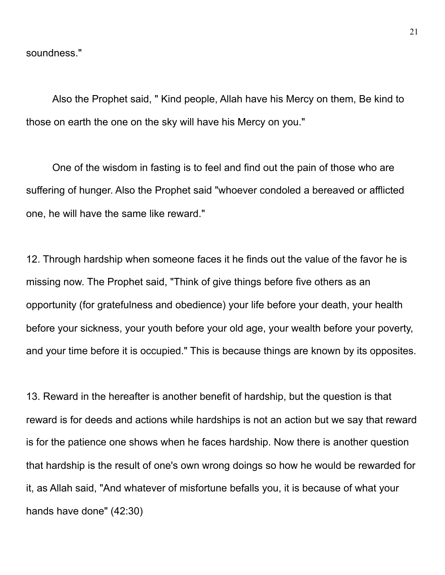soundness."

Also the Prophet said, " Kind people, Allah have his Mercy on them, Be kind to those on earth the one on the sky will have his Mercy on you."

One of the wisdom in fasting is to feel and find out the pain of those who are suffering of hunger. Also the Prophet said "whoever condoled a bereaved or afflicted one, he will have the same like reward."

12. Through hardship when someone faces it he finds out the value of the favor he is missing now. The Prophet said, "Think of give things before five others as an opportunity (for gratefulness and obedience) your life before your death, your health before your sickness, your youth before your old age, your wealth before your poverty, and your time before it is occupied." This is because things are known by its opposites.

13. Reward in the hereafter is another benefit of hardship, but the question is that reward is for deeds and actions while hardships is not an action but we say that reward is for the patience one shows when he faces hardship. Now there is another question that hardship is the result of one's own wrong doings so how he would be rewarded for it, as Allah said, "And whatever of misfortune befalls you, it is because of what your hands have done" (42:30)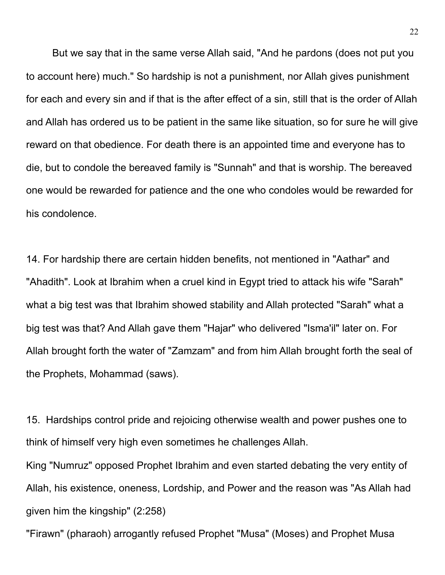But we say that in the same verse Allah said, "And he pardons (does not put you to account here) much." So hardship is not a punishment, nor Allah gives punishment for each and every sin and if that is the after effect of a sin, still that is the order of Allah and Allah has ordered us to be patient in the same like situation, so for sure he will give reward on that obedience. For death there is an appointed time and everyone has to die, but to condole the bereaved family is "Sunnah" and that is worship. The bereaved one would be rewarded for patience and the one who condoles would be rewarded for his condolence.

14. For hardship there are certain hidden benefits, not mentioned in "Aathar" and "Ahadith". Look at Ibrahim when a cruel kind in Egypt tried to attack his wife "Sarah" what a big test was that Ibrahim showed stability and Allah protected "Sarah" what a big test was that? And Allah gave them "Hajar" who delivered "Isma'il" later on. For Allah brought forth the water of "Zamzam" and from him Allah brought forth the seal of the Prophets, Mohammad (saws).

15. Hardships control pride and rejoicing otherwise wealth and power pushes one to think of himself very high even sometimes he challenges Allah.

King "Numruz" opposed Prophet Ibrahim and even started debating the very entity of Allah, his existence, oneness, Lordship, and Power and the reason was "As Allah had given him the kingship" (2:258)

"Firawn" (pharaoh) arrogantly refused Prophet "Musa" (Moses) and Prophet Musa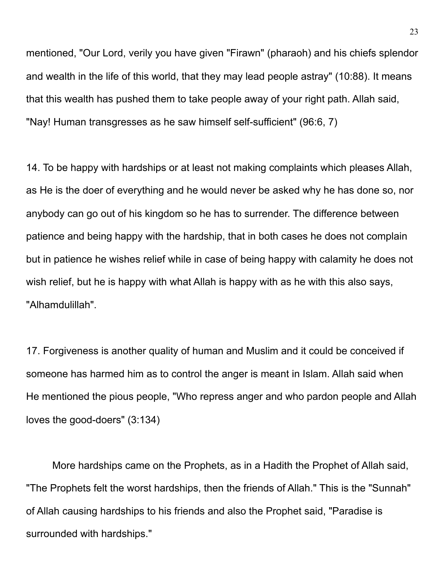mentioned, "Our Lord, verily you have given "Firawn" (pharaoh) and his chiefs splendor and wealth in the life of this world, that they may lead people astray" (10:88). It means that this wealth has pushed them to take people away of your right path. Allah said, "Nay! Human transgresses as he saw himself self-sufficient" (96:6, 7)

14. To be happy with hardships or at least not making complaints which pleases Allah, as He is the doer of everything and he would never be asked why he has done so, nor anybody can go out of his kingdom so he has to surrender. The difference between patience and being happy with the hardship, that in both cases he does not complain but in patience he wishes relief while in case of being happy with calamity he does not wish relief, but he is happy with what Allah is happy with as he with this also says, "Alhamdulillah".

17. Forgiveness is another quality of human and Muslim and it could be conceived if someone has harmed him as to control the anger is meant in Islam. Allah said when He mentioned the pious people, "Who repress anger and who pardon people and Allah loves the good-doers" (3:134)

More hardships came on the Prophets, as in a Hadith the Prophet of Allah said, "The Prophets felt the worst hardships, then the friends of Allah." This is the "Sunnah" of Allah causing hardships to his friends and also the Prophet said, "Paradise is surrounded with hardships."